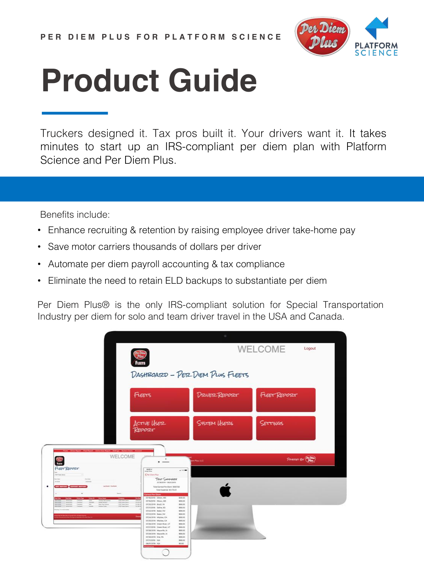

Truckers designed it. Tax pros built it. Your drivers want it. It takes minutes to start up an IRS-compliant per diem plan with Platform Science and Per Diem Plus.

Benefits include:

- Enhance recruiting & retention by raising employee driver take-home pay
- Save motor carriers thousands of dollars per driver
- Automate per diem payroll accounting & tax compliance
- Eliminate the need to retain ELD backups to substantiate per diem

Per Diem Plus® is the only IRS-compliant solution for Special Transportation Industry per diem for solo and team driver travel in the USA and Canada.

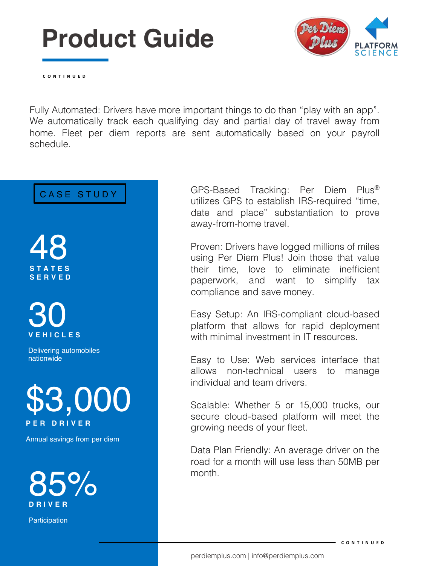

**CONTINUED**

Fully Automated: Drivers have more important things to do than "play with an app". We automatically track each qualifying day and partial day of travel away from home. Fleet per diem reports are sent automatically based on your payroll schedule.

48 **STATES SERVED**



Delivering automobiles nationwide



Annual savings from per diem



**Participation** 

CASE STUDY GPS-Based Tracking: Per Diem Plus® utilizes GPS to establish IRS-required "time, date and place" substantiation to prove away-from-home travel.

> Proven: Drivers have logged millions of miles using Per Diem Plus! Join those that value their time, love to eliminate inefficient paperwork, and want to simplify tax compliance and save money.

> Easy Setup: An IRS-compliant cloud-based platform that allows for rapid deployment with minimal investment in IT resources

> Easy to Use: Web services interface that allows non-technical users to manage individual and team drivers.

> Scalable: Whether 5 or 15,000 trucks, our secure cloud-based platform will meet the growing needs of your fleet.

> Data Plan Friendly: An average driver on the road for a month will use less than 50MB per month.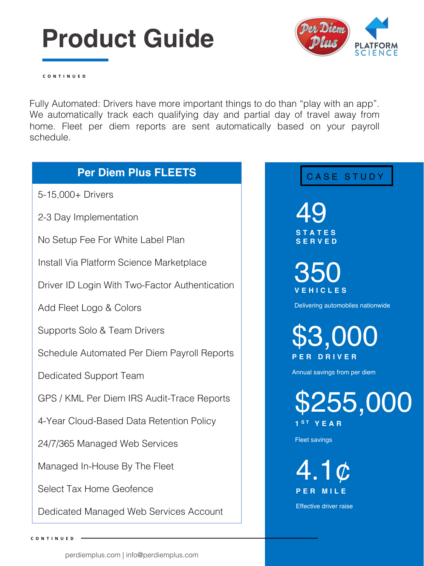

\$3,000

**CONTINUED**

Fully Automated: Drivers have more important things to do than "play with an app". We automatically track each qualifying day and partial day of travel away from home. Fleet per diem reports are sent automatically based on your payroll schedule.

### CASE STUDY 49 **STATES SERVED** 350 **VEHICLES**  Delivering automobiles nationwide **PER DRIVER**  Annual savings from per diem \$255,000 **1 S T YEAR** Fleet savings 4.1¢ **PER MILE**  Effective driver raise **Per Diem Plus FLEETS**  5-15,000+ Drivers 2-3 Day Implementation No Setup Fee For White Label Plan Install Via Platform Science Marketplace Driver ID Login With Two-Factor Authentication Add Fleet Logo & Colors Supports Solo & Team Drivers Schedule Automated Per Diem Payroll Reports Dedicated Support Team GPS / KML Per Diem IRS Audit-Trace Reports 4-Year Cloud-Based Data Retention Policy 24/7/365 Managed Web Services Managed In-House By The Fleet Select Tax Home Geofence Dedicated Managed Web Services Account

**CONTINUED**